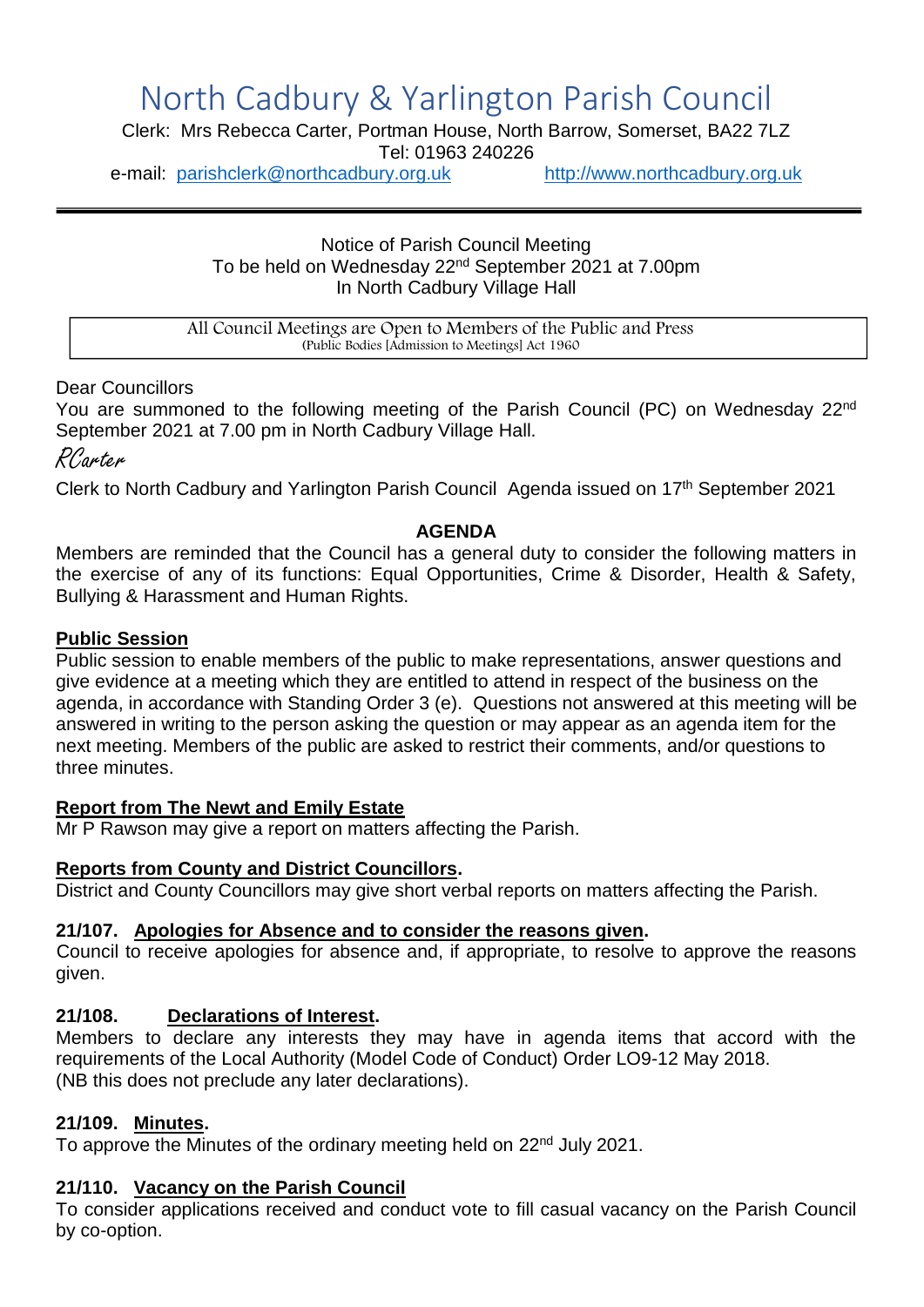# North Cadbury & Yarlington Parish Council

Clerk: Mrs Rebecca Carter, Portman House, North Barrow, Somerset, BA22 7LZ

Tel: 01963 240226

e-mail: [parishclerk@northcadbury.org.uk](mailto:parishclerk@northcadbury.org.uk) [http://www.northcadbury.org.uk](http://www.northcadbury.org.uk/)

Notice of Parish Council Meeting To be held on Wednesday 22<sup>nd</sup> September 2021 at 7.00pm In North Cadbury Village Hall

All Council Meetings are Open to Members of the Public and Press (Public Bodies [Admission to Meetings] Act 1960

Dear Councillors

You are summoned to the following meeting of the Parish Council (PC) on Wednesday 22<sup>nd</sup> September 2021 at 7.00 pm in North Cadbury Village Hall.

RCarter

Clerk to North Cadbury and Yarlington Parish Council Agenda issued on 17<sup>th</sup> September 2021

## **AGENDA**

Members are reminded that the Council has a general duty to consider the following matters in the exercise of any of its functions: Equal Opportunities, Crime & Disorder, Health & Safety, Bullying & Harassment and Human Rights.

## **Public Session**

Public session to enable members of the public to make representations, answer questions and give evidence at a meeting which they are entitled to attend in respect of the business on the agenda, in accordance with Standing Order 3 (e). Questions not answered at this meeting will be answered in writing to the person asking the question or may appear as an agenda item for the next meeting. Members of the public are asked to restrict their comments, and/or questions to three minutes.

## **Report from The Newt and Emily Estate**

Mr P Rawson may give a report on matters affecting the Parish.

## **Reports from County and District Councillors.**

District and County Councillors may give short verbal reports on matters affecting the Parish.

## **21/107. Apologies for Absence and to consider the reasons given.**

Council to receive apologies for absence and, if appropriate, to resolve to approve the reasons given.

## **21/108. Declarations of Interest.**

Members to declare any interests they may have in agenda items that accord with the requirements of the Local Authority (Model Code of Conduct) Order LO9-12 May 2018. (NB this does not preclude any later declarations).

## **21/109. Minutes.**

To approve the Minutes of the ordinary meeting held on 22nd July 2021.

## **21/110. Vacancy on the Parish Council**

To consider applications received and conduct vote to fill casual vacancy on the Parish Council by co-option.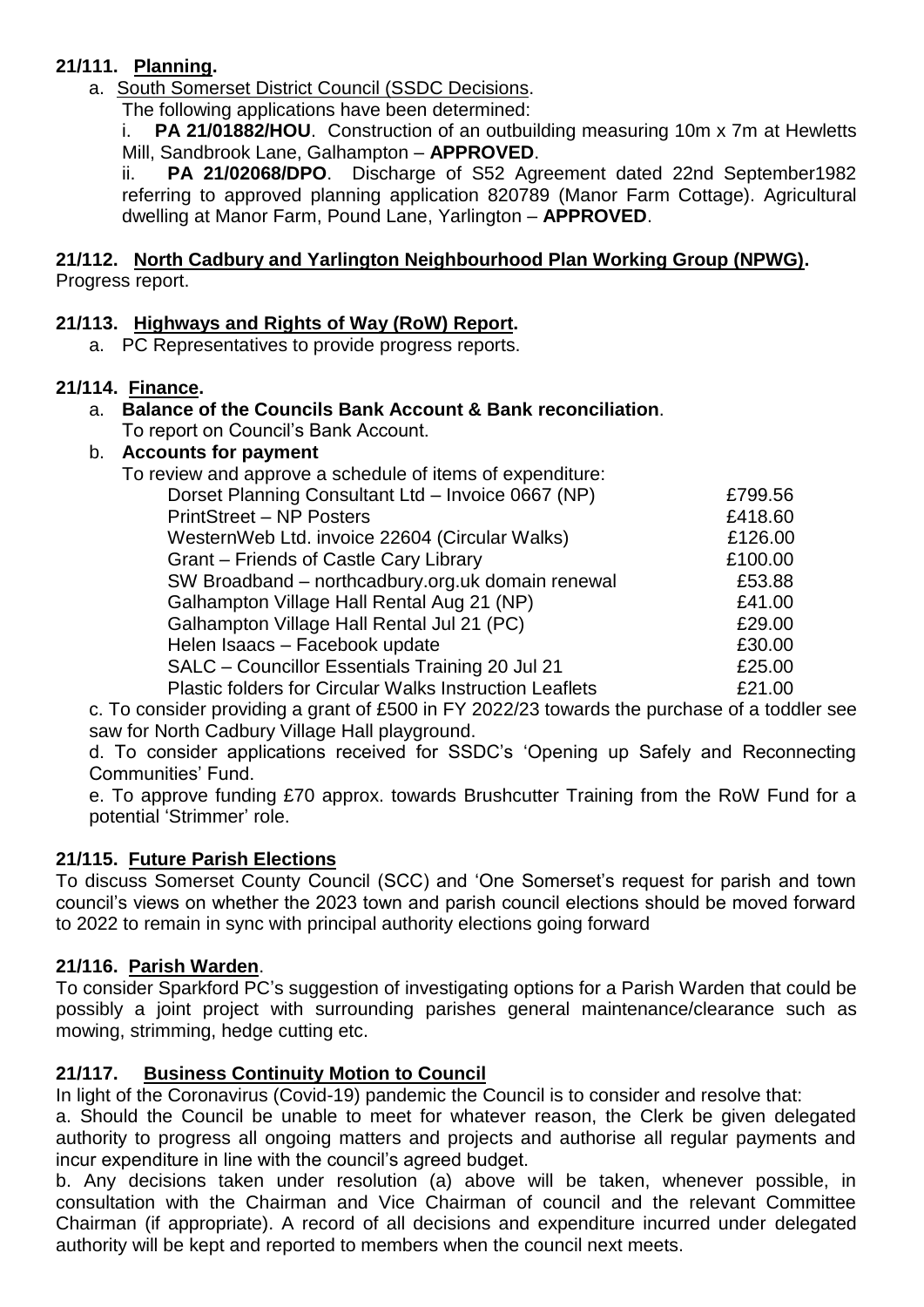# **21/111. Planning.**

a. South Somerset District Council (SSDC Decisions.

The following applications have been determined:

**PA 21/01882/HOU.** Construction of an outbuilding measuring 10m x 7m at Hewletts Mill, Sandbrook Lane, Galhampton – **APPROVED**.

ii. **PA 21/02068/DPO**. Discharge of S52 Agreement dated 22nd September1982 referring to approved planning application 820789 (Manor Farm Cottage). Agricultural dwelling at Manor Farm, Pound Lane, Yarlington – **APPROVED**.

#### **21/112. North Cadbury and Yarlington Neighbourhood Plan Working Group (NPWG).** Progress report.

# **21/113. Highways and Rights of Way (RoW) Report.**

a. PC Representatives to provide progress reports.

## **21/114. Finance.**

#### a. **Balance of the Councils Bank Account & Bank reconciliation**. To report on Council's Bank Account.

# b. **Accounts for payment**

| AUUUIIIIO IUI PAVIIIGIII                                       |         |
|----------------------------------------------------------------|---------|
| To review and approve a schedule of items of expenditure:      |         |
| Dorset Planning Consultant Ltd - Invoice 0667 (NP)             | £799.56 |
| <b>PrintStreet – NP Posters</b>                                | £418.60 |
| WesternWeb Ltd. invoice 22604 (Circular Walks)                 | £126.00 |
| Grant - Friends of Castle Cary Library                         | £100.00 |
| SW Broadband - northcadbury.org.uk domain renewal              | £53.88  |
| Galhampton Village Hall Rental Aug 21 (NP)                     | £41.00  |
| Galhampton Village Hall Rental Jul 21 (PC)                     | £29.00  |
| Helen Isaacs - Facebook update                                 | £30.00  |
| SALC - Councillor Essentials Training 20 Jul 21                | £25.00  |
| <b>Plastic folders for Circular Walks Instruction Leaflets</b> | £21.00  |
|                                                                |         |

c. To consider providing a grant of £500 in FY 2022/23 towards the purchase of a toddler see saw for North Cadbury Village Hall playground.

d. To consider applications received for SSDC's 'Opening up Safely and Reconnecting Communities' Fund.

e. To approve funding £70 approx. towards Brushcutter Training from the RoW Fund for a potential 'Strimmer' role.

# **21/115. Future Parish Elections**

To discuss Somerset County Council (SCC) and 'One Somerset's request for parish and town council's views on whether the 2023 town and parish council elections should be moved forward to 2022 to remain in sync with principal authority elections going forward

# **21/116. Parish Warden**.

To consider Sparkford PC's suggestion of investigating options for a Parish Warden that could be possibly a joint project with surrounding parishes general maintenance/clearance such as mowing, strimming, hedge cutting etc.

# **21/117. Business Continuity Motion to Council**

In light of the Coronavirus (Covid-19) pandemic the Council is to consider and resolve that:

a. Should the Council be unable to meet for whatever reason, the Clerk be given delegated authority to progress all ongoing matters and projects and authorise all regular payments and incur expenditure in line with the council's agreed budget.

b. Any decisions taken under resolution (a) above will be taken, whenever possible, in consultation with the Chairman and Vice Chairman of council and the relevant Committee Chairman (if appropriate). A record of all decisions and expenditure incurred under delegated authority will be kept and reported to members when the council next meets.